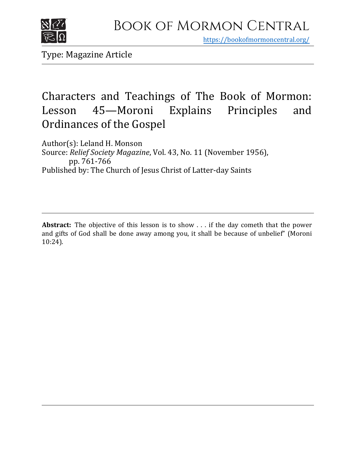

https[://bookofmormoncentral.org/](http://bookofmormoncentral.org/)

Type: Magazine Article

# Characters and Teachings of The Book of Mormon:<br>Lesson 45—Moroni Explains Principles and Lesson 45—Moroni Explains Principles and Ordinances of the Gospel

Author(s): Leland H. Monson Source: *Relief Society Magazine*, Vol. 43, No. 11 (November 1956), pp. 761-766 Published by: The Church of Jesus Christ of Latter-day Saints

**Abstract:** The objective of this lesson is to show . . . if the day cometh that the power and gifts of God shall be done away among you, it shall be because of unbelief" (Moroni 10:24).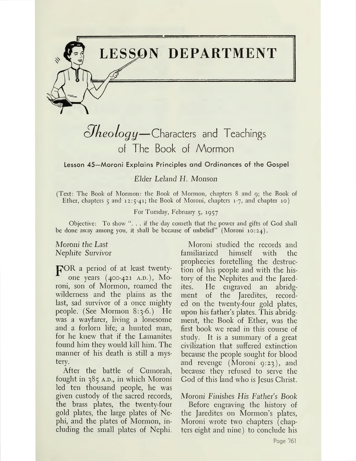

# $\partial$ *heology*—Characters and Teachings of The Book of Mormon

Lesson 45—Moroni Explains Principles and Ordinances of the Gospel

*Elder Leland H. Monson*

(Text: The Book of Mormon: the Book of Mormon, chapters 8 and 9; the Book of Ether, chapters <sup>5</sup> and 12:5-41; the Book of Moroni, chapters 1-7, and chapter 10)

For Tuesday, February 5, 1957

Objective: To show ". . . if the day cometh that the power and gifts of God shall be done away among you, it shall be because of unbelief" (Moroni 10:24).

*Moroni the Last Nephite Survivor*

pOR <sup>a</sup> period of at least twentyone years (400-421 A.D.), Moroni, son of Mormon, roamed the wilderness and the plains, as the last, sad survivor of a once mighty people. (See Mormon 8:3-6.) He was a wayfarer, living a lonesome and a forlorn life; a hunted man, for he knew that if the Lamanites found him they would kill him. The manner of his death is still a mystery.

After the battle of Cumorah, fought in  $385$  A.D., in which Moroni led ten thousand people, he was given custody of the sacred records, the brass plates, the twenty-four gold plates, the large plates of Nephi, and the plates of Mormon, including the small plates of Nephi.

Moroni studied the records and familiarized himself with the prophecies foretelling the destruction of his people and with the history of the Nephites and the Jaredites. He engraved an abridgment of the Jaredites, recorded on the twenty-four gold plates, upon his father's plates. This abridgment, the Book of Ether, was the first book we read in this course of study. It is a summary of a great civilization that suffered extinction because the people sought for blood and revenge (Moroni 9:23), and because they refused to serve the God of this land who is Jesus Christ.

*Moroni Finishes His Father's Book*

Before engraving the history of the Jaredites on Mormon'<sup>s</sup> plates, Moroni wrote two chapters (chapters eight and nine) to conclude his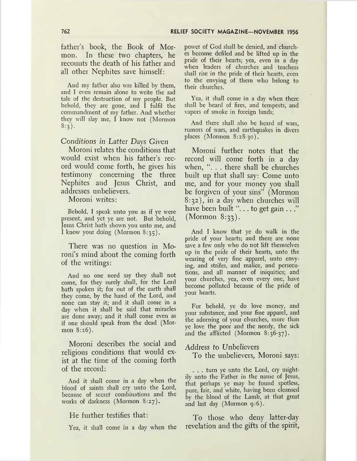father's book, the Book of Mormon. In these two chapters, he recounts the death of his father and all other Nephites save himself:

And my father also was killed by them, and I even remain alone to write the sad tale of the destruction of my people. But behold, they are gone, and I fulfil the commandment of my father. And whether they will slay me, I know not (Mormon  $8:3$ .

*Conditions in Latter Days Given*

Moroni relates the conditions that would exist when his father's record would come forth, he gives his testimony concerning the three Nephites and Jesus Christ, and addresses unbelievers.

Moroni writes:

Behold, I speak unto you as if ye were present, and yet ye are not. But behold, Jesus Christ hath shown you unto me, and I know your doing (Mormon 8:35).

There was no question in Moroni's mind about the coming forth of the writings:

And no one need say they shall not come, for they surely shall, for the Lord hath spoken it; for out of the earth shall they come, by the hand of the Lord, and none can stay it; and it shall come in a day when it shall be said that miracles are done away; and it shall come even as if one should speak from the dead (Mormon 8:26).

Moroni describes the social and religious conditions that would exist at the time of the coming forth of the record:

And it shall come in a day when the blood of saints shall cry unto the Lord, because of secret combinations and the works of darkness (Mormon 8:27).

He further testifies that:

Yea, it shall come in a day when the

power of God shall be denied, and churches become defiled and be lifted up in the pride of their hearts; yea, even in a day when leaders of churches and teachers shall rise in the pride of their hearts, even to the envying of them who belong to their churches.

Yea, it shall come in a day when there shall be heard of fires, and tempests, and vapors of smoke in foreign lands;

And there shall also be heard of wars, rumors of wars, and earthquakes in divers places (Mormon 8:28-30).

Moroni further notes that the record will come forth in a day when, "... there shall be churches built up that shall say: Come unto me, and for your money you shall be forgiven of your sins" (Mormon 8:32), in a day when churches will have been built "... to get gain ..." (Mormon 8:33).

And I know that ye do walk in the pride of your hearts; and there are none save a few only who do not lift themselves up in the pride of their hearts, unto the wearing of very fine apparel, unto envying, and strifes, and malice, and persecutions, and all manner of iniquities; and your churches, yea, even every one, have become polluted because of the pride of your hearts.

For behold, ye do love money, and your substance, and your fine apparel, and the adorning of your churches, more than ye love the poor and the needy, the sick and the afflicted (Mormon 8:36-37).

Address to *Unbelievers*

To the unbelievers, Moroni says:

. . . turn ye unto the Lord, cry mightily unto the Father in the name of Jesus, that perhaps ye may be found spotless, pure, fair, and white, having been cleansed by the blood of the Lamb, at that great and last day (Mormon 9:6).

To those who deny latter-day revelation and the gifts of the spirit,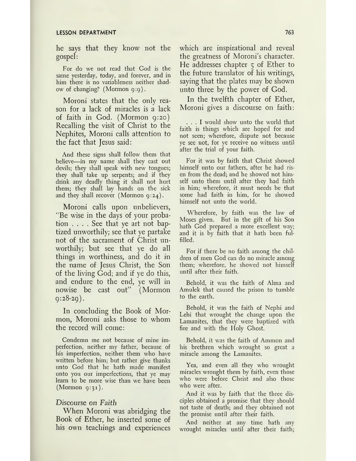#### **LESSON DEPARTMENT 763**

he says that they know not the gospel:

For do we not read that God is the same yesterday, today, and forever, and in him there is no variableness neither shadow of changing? (Mormon 9:9).

Moroni states that the only reason for a lack of miracles is a lack of faith in God. (Mormon 9:20) Recalling the visit of Christ to the Nephites, Moroni calls attention to the fact that Jesus said:

And these signs shall follow them that believe—in my name shall they cast out devils; they shall speak with new tongues; they shall take up serpents; and if they drink any deadly thing it shall not hurt them; they shall lay hands on the sick and they shall recover (Mormon  $9:24$ ).

Moroni calls upon unbelievers, "Be wise in the days of your probation .... See that ye art not baptized unworthily; see that ye partake not of the sacrament of Christ unworthily; but see that ye do all things in worthiness, and do it in the name of Jesus Christ, the Son of the living God; and if ye do this, and endure to the end, ye will in nowise be cast out" (Mormon  $9:28-29$ ).

In concluding the Book of Mormon, Moroni asks those to whom the record will come:

Condemn me not because of mine imperfection, neither my father, because of his imperfection, neither them who have written before him; but rather give thanks unto God that he hath made manifest unto you our imperfections, that ye may learn to be more wise than we have been  $(Mormon 9:31)$ .

### *Discourse on Faith*

When Moroni was abridging the Book of Ether, he inserted some of his own teachings and experiences which are inspirational and reveal the greatness of Moroni's character. He addresses chapter 5 of Ether to the future translator of his writings, saying that the plates may be shown unto three by the power of God.

In the twelfth chapter of Ether, Moroni gives a discourse on faith:

... <sup>I</sup> would show unto the world that faith is things which are hoped for and not seen; wherefore, dispute not because ye see not, for ye receive no witness until after the trial of your faith.

For it was by faith that Christ showed himself unto our fathers, after he had risen from the dead; and he showed not himself unto them until after they had faith in him; wherefore, it must needs be that some had faith in him, for he showed himself not unto the world.

Wherefore, by faith was the law of Moses given. But in the gift of his Son hath God prepared a more excellent way; and it is by faith that it hath been fulfilled.

For if there be no faith among the children of men God can do no miracle among them; wherefore, he showed not himself until after their faith.

Behold, it was the faith of Alma and Amulek that caused the prison to tumble to the earth.

Behold, it was the faith of Nephi and Lehi that wrought the change upon the Lamanites, that they were baptized with fire and with the Holy Ghost.

Behold, it was the faith of Ammon and his brethren which wrought so great a miracle among the Lamanites.

Yea, and even all they who wrought miracles wrought them by faith, even those who were before Christ and also those who were after.

And it was by faith that the three disciples obtained a promise that they should not taste of death; and they obtained not the promise until after their faith.

And neither at any time hath any wrought miracles until after their faith;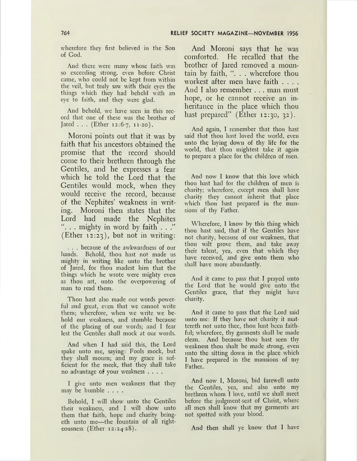wherefore they first believed in the Son of God.

And there were many whose faith was so exceeding strong, even before Christ came, who could not be kept from within the veil, but truly saw with their eyes the things which they had beheld with an eye to faith, and they were glad.

And behold, we have seen in this record that one of these was the brother of Jared  $\ldots$  (Ether 12:6-7, 11-20).

Moroni points out that it was by faith that his ancestors obtained the promise that the record should come to their brethren through the Gentiles, and he expresses a fear which he told the Lord that the Gentiles would mock, when they would receive the record, because of the Nephites' weakness in writing. Moroni then states that the Lord had made the Nephites "... mighty in word by faith  $\ldots$ " (Ether 12:23), but not in writing:

. . . because of the awkwardness of our hands. Behold, thou hast not made us mighty in writing like unto the brother of Jared, for thou madest him that the things which he wrote were mighty even as thou art, unto the overpowering of man to read them.

Thou hast also made our words powerful and great, even that we cannot write them; wherefore, when we write we behold our weakness, and stumble because of the placing of our words; and I fear lest the Gentiles shall mock at our words.

And when I had said this, the Lord spake unto me, saying: Fools mock, but they shall mourn; and my grace is sufficient for the meek, that they shall take no advantage of your weakness ....

I give unto men weakness that they may be humble ....

Behold, I will show unto the Gentiles their weakness, and I will show unto them that faith, hope and charity bringeth unto me—the fountain of all righteousness (Ether 12:24-28).

And Moroni says that he was comforted. He recalled that the brother of Jared removed a mountain by faith, ". . . wherefore thou workest after men have faith .... And I also remember . . . man must hope, or he cannot receive an inheritance in the place which thou hast prepared" (Ether 12:30, 32).

And again, I remember that thou hast said that thou hast loved the world, even unto the laying down of thy life for the world, that thou mightest take it again to prepare a place for the children of men.

And now I know that this love which thou hast had for the children of men is charity; wherefore, except men shall have charity they cannot inherit that place which thou hast prepared in the mansions of thy Father.

Wherefore, I know by this thing which thou hast said, that if the Gentiles have not charity, because of our weakness, that thou wilt prove them, and take away their talent, yea, even that which they have received, and give unto them who shall have more abundantly.

And it came to pass that I prayed unto the Lord that he would give unto the Gentiles grace, that they might have charity.

And it came to pass that the Lord said unto me: If they have not charity it mattereth not unto thee, thou hast been faithful; wherefore, thy garments shall be made clean. And because thou hast seen thy weakness thou shalt be made strong, even unto the sitting down in the place which I have prepared in the mansions of my Father.

And now I, Moroni, bid farewell unto the Gentiles, yea, and also unto my brethren whom I love, until we shall meet before the judgment-seat of Christ, where all men shall know that my garments are not spotted with your blood.

And then shall ye know that I have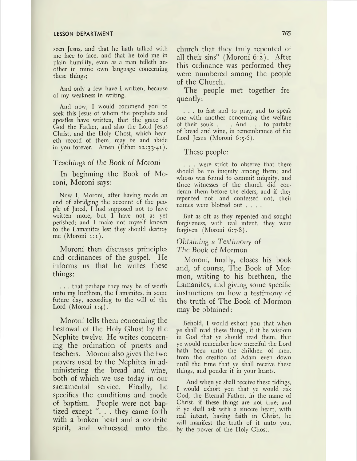seen Jesus, and that he hath talked with me face to face, and that he told me in plain humility, even as a man telleth another in mine own language concerning these things;

And only a few have I written, because of my weakness in writing.

And now, I would commend you to seek this Jesus of whom the prophets and apostles have written, that the grace of God the Father, and also the Lord Jesus Christ, and the Holy Ghost, which beareth record of them, may be and abide in you forever. Amen  $(Ether 12:33-41)$ .

#### *Teachings of the Book of Moroni*

In beginning the Book of Moroni, Moroni says:

Now I, Moroni, after having made an end of abridging the account of the people of Jared, I had supposed not to have written more, but I have not as yet perished; and I make not myself known to the Lamanites lest they should destroy me (Moroni 1:1).

Moroni then discusses principles and ordinances of the gospel. He informs us that he writes these things:

. . . that perhaps they may be of worth unto my brethren, the Lamanites, in some future day, according to the will of the Lord (Moroni 1:4).

Moroni tells them concerning the bestowal of the Holy Ghost by the Nephite twelve. He writes concerning the ordination of priests and teachers. Moroni also gives the two prayers used by the Nephites in administering the bread and wine, both of which we use today in our sacramental service. Finally, he specifies the conditions and mode of baptism. People were not baptized except ". . . they came forth with a broken heart and a contrite spirit, and witnessed unto the

church that they truly repented of all their sins" (Moroni 6:2). After this ordinance was performed they were numbered among the people of the Church.

The people met together frequently:

... to fast and to pray, and to speak one with another concerning the welfare of their souls .... And ... to partake of bread and wine, in remembrance of the Lord Jesus (Moroni 6:5-6).

### These people:

. . . were strict to observe that there should be no iniquity among them; and whoso was found to commit iniquity, and three witnesses of the church did condemn them before the elders, and if they repented not, and confessed not, their names were blotted out ....

But as oft as they repented and sought forgiveness, with real intent, they were forgiven (Moroni 6:7-8).

# *Obtaining* a *Testimony of The Book of Mormon*

Moroni, finally, closes his book and, of course, The Book of Mormon, writing to his brethren, the Lamanites, and giving some specific instructions on how a testimony of the truth of The Book of Mormon may be obtained:

Behold, I would exhort you that when ye shall read these things, if it be wisdom in God that ye should read them, that ye would remember how merciful the Lord hath been unto the children of men. from the creation of Adam even down until the time that ye shall receive these things, and ponder it in your hearts.

And when ye shall receive these tidings, I would exhort you that ye would ask God, the Eternal Father, in the name of Christ, if these things are not true; and if ye shall ask with a sincere heart, with real intent, having faith in Christ, he will manifest the truth of it unto you, by the power of the Holy Ghost.